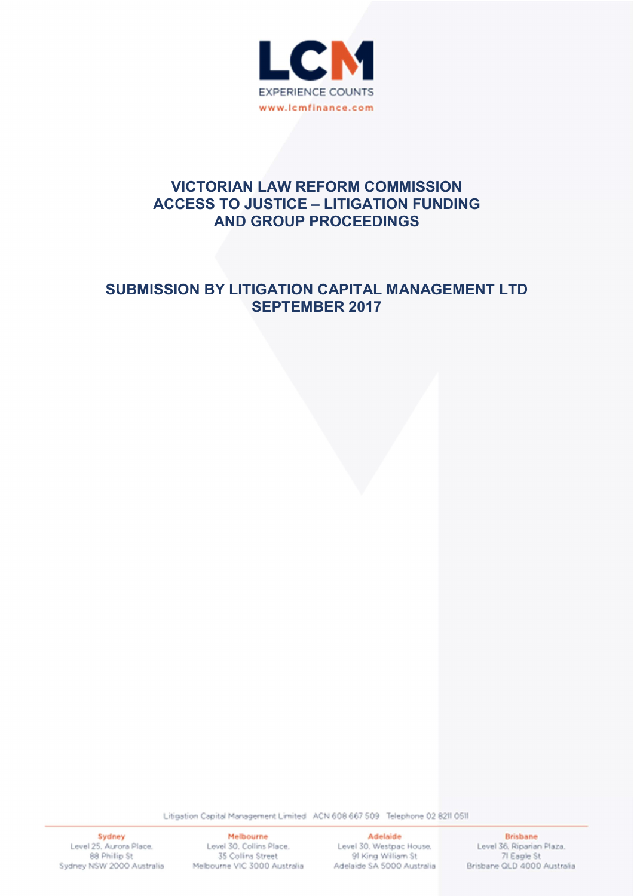

# VICTORIAN LAW REFORM COMMISSION ACCESS TO JUSTICE – LITIGATION FUNDING AND GROUP PROCEEDINGS

# SUBMISSION BY LITIGATION CAPITAL MANAGEMENT LTD SEPTEMBER 2017

Litigation Capital Management Limited ACN 608 667 509 Telephone 02 8211 0511

Sydney Level 25, Aurora Place. 88 Philip St Sydney NSW 2000 Australia

Melbourne Melbourne<br>Level 30, Collins Place, 35 Collins Street Melbourne VIC 3000 Australia Adelaide SA 5000 Australia

**Adelaide** Level 30, Westpac House. 91 King William St

**Brisbane** Level 36, Riparian Plaza. 71 Eagle St Brisbane QLD 4000 Australia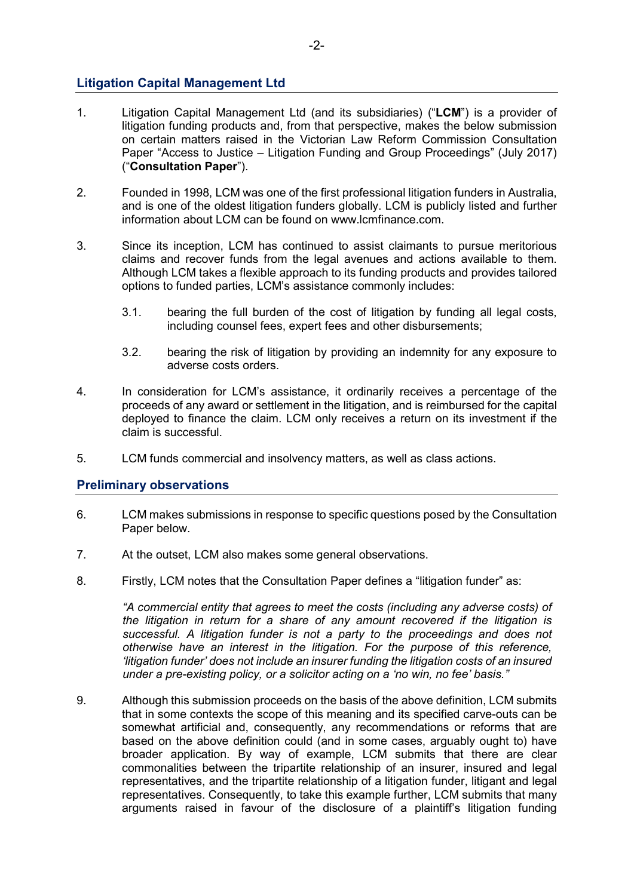# Litigation Capital Management Ltd

- 1. Litigation Capital Management Ltd (and its subsidiaries) ("LCM") is a provider of litigation funding products and, from that perspective, makes the below submission on certain matters raised in the Victorian Law Reform Commission Consultation Paper "Access to Justice – Litigation Funding and Group Proceedings" (July 2017) ("Consultation Paper").
- 2. Founded in 1998, LCM was one of the first professional litigation funders in Australia, and is one of the oldest litigation funders globally. LCM is publicly listed and further information about LCM can be found on www.lcmfinance.com.
- 3. Since its inception, LCM has continued to assist claimants to pursue meritorious claims and recover funds from the legal avenues and actions available to them. Although LCM takes a flexible approach to its funding products and provides tailored options to funded parties, LCM's assistance commonly includes:
	- 3.1. bearing the full burden of the cost of litigation by funding all legal costs, including counsel fees, expert fees and other disbursements;
	- 3.2. bearing the risk of litigation by providing an indemnity for any exposure to adverse costs orders.
- 4. In consideration for LCM's assistance, it ordinarily receives a percentage of the proceeds of any award or settlement in the litigation, and is reimbursed for the capital deployed to finance the claim. LCM only receives a return on its investment if the claim is successful.
- 5. LCM funds commercial and insolvency matters, as well as class actions.

# Preliminary observations

- 6. LCM makes submissions in response to specific questions posed by the Consultation Paper below.
- 7. At the outset, LCM also makes some general observations.
- 8. Firstly, LCM notes that the Consultation Paper defines a "litigation funder" as:

"A commercial entity that agrees to meet the costs (including any adverse costs) of the litigation in return for a share of any amount recovered if the litigation is successful. A litigation funder is not a party to the proceedings and does not otherwise have an interest in the litigation. For the purpose of this reference, 'litigation funder' does not include an insurer funding the litigation costs of an insured under a pre-existing policy, or a solicitor acting on a 'no win, no fee' basis."

9. Although this submission proceeds on the basis of the above definition, LCM submits that in some contexts the scope of this meaning and its specified carve-outs can be somewhat artificial and, consequently, any recommendations or reforms that are based on the above definition could (and in some cases, arguably ought to) have broader application. By way of example, LCM submits that there are clear commonalities between the tripartite relationship of an insurer, insured and legal representatives, and the tripartite relationship of a litigation funder, litigant and legal representatives. Consequently, to take this example further, LCM submits that many arguments raised in favour of the disclosure of a plaintiff's litigation funding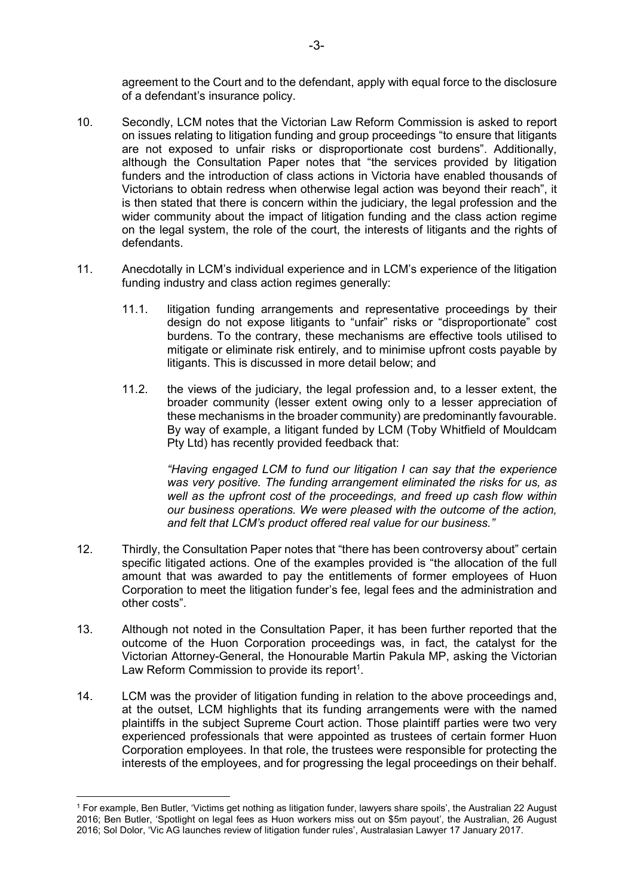agreement to the Court and to the defendant, apply with equal force to the disclosure of a defendant's insurance policy.

- 10. Secondly, LCM notes that the Victorian Law Reform Commission is asked to report on issues relating to litigation funding and group proceedings "to ensure that litigants are not exposed to unfair risks or disproportionate cost burdens". Additionally, although the Consultation Paper notes that "the services provided by litigation funders and the introduction of class actions in Victoria have enabled thousands of Victorians to obtain redress when otherwise legal action was beyond their reach", it is then stated that there is concern within the judiciary, the legal profession and the wider community about the impact of litigation funding and the class action regime on the legal system, the role of the court, the interests of litigants and the rights of defendants.
- 11. Anecdotally in LCM's individual experience and in LCM's experience of the litigation funding industry and class action regimes generally:
	- 11.1. litigation funding arrangements and representative proceedings by their design do not expose litigants to "unfair" risks or "disproportionate" cost burdens. To the contrary, these mechanisms are effective tools utilised to mitigate or eliminate risk entirely, and to minimise upfront costs payable by litigants. This is discussed in more detail below; and
	- 11.2. the views of the judiciary, the legal profession and, to a lesser extent, the broader community (lesser extent owing only to a lesser appreciation of these mechanisms in the broader community) are predominantly favourable. By way of example, a litigant funded by LCM (Toby Whitfield of Mouldcam Pty Ltd) has recently provided feedback that:

"Having engaged LCM to fund our litigation I can say that the experience was very positive. The funding arrangement eliminated the risks for us, as well as the upfront cost of the proceedings, and freed up cash flow within our business operations. We were pleased with the outcome of the action, and felt that LCM's product offered real value for our business."

- 12. Thirdly, the Consultation Paper notes that "there has been controversy about" certain specific litigated actions. One of the examples provided is "the allocation of the full amount that was awarded to pay the entitlements of former employees of Huon Corporation to meet the litigation funder's fee, legal fees and the administration and other costs".
- 13. Although not noted in the Consultation Paper, it has been further reported that the outcome of the Huon Corporation proceedings was, in fact, the catalyst for the Victorian Attorney-General, the Honourable Martin Pakula MP, asking the Victorian Law Reform Commission to provide its report<sup>1</sup>.
- 14. LCM was the provider of litigation funding in relation to the above proceedings and, at the outset, LCM highlights that its funding arrangements were with the named plaintiffs in the subject Supreme Court action. Those plaintiff parties were two very experienced professionals that were appointed as trustees of certain former Huon Corporation employees. In that role, the trustees were responsible for protecting the interests of the employees, and for progressing the legal proceedings on their behalf.

<sup>-</sup>1 For example, Ben Butler, 'Victims get nothing as litigation funder, lawyers share spoils', the Australian 22 August 2016; Ben Butler, 'Spotlight on legal fees as Huon workers miss out on \$5m payout', the Australian, 26 August 2016; Sol Dolor, 'Vic AG launches review of litigation funder rules', Australasian Lawyer 17 January 2017.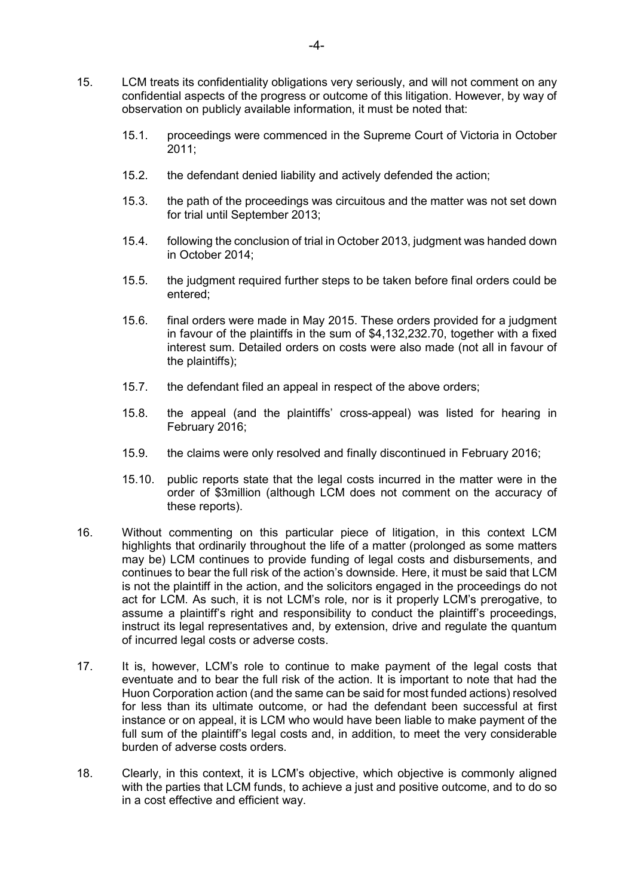- 15.1. proceedings were commenced in the Supreme Court of Victoria in October 2011;
- 15.2. the defendant denied liability and actively defended the action;
- 15.3. the path of the proceedings was circuitous and the matter was not set down for trial until September 2013;
- 15.4. following the conclusion of trial in October 2013, judgment was handed down in October 2014;
- 15.5. the judgment required further steps to be taken before final orders could be entered;
- 15.6. final orders were made in May 2015. These orders provided for a judgment in favour of the plaintiffs in the sum of \$4,132,232.70, together with a fixed interest sum. Detailed orders on costs were also made (not all in favour of the plaintiffs);
- 15.7. the defendant filed an appeal in respect of the above orders;
- 15.8. the appeal (and the plaintiffs' cross-appeal) was listed for hearing in February 2016;
- 15.9. the claims were only resolved and finally discontinued in February 2016;
- 15.10. public reports state that the legal costs incurred in the matter were in the order of \$3million (although LCM does not comment on the accuracy of these reports).
- 16. Without commenting on this particular piece of litigation, in this context LCM highlights that ordinarily throughout the life of a matter (prolonged as some matters may be) LCM continues to provide funding of legal costs and disbursements, and continues to bear the full risk of the action's downside. Here, it must be said that LCM is not the plaintiff in the action, and the solicitors engaged in the proceedings do not act for LCM. As such, it is not LCM's role, nor is it properly LCM's prerogative, to assume a plaintiff's right and responsibility to conduct the plaintiff's proceedings, instruct its legal representatives and, by extension, drive and regulate the quantum of incurred legal costs or adverse costs.
- 17. It is, however, LCM's role to continue to make payment of the legal costs that eventuate and to bear the full risk of the action. It is important to note that had the Huon Corporation action (and the same can be said for most funded actions) resolved for less than its ultimate outcome, or had the defendant been successful at first instance or on appeal, it is LCM who would have been liable to make payment of the full sum of the plaintiff's legal costs and, in addition, to meet the very considerable burden of adverse costs orders.
- 18. Clearly, in this context, it is LCM's objective, which objective is commonly aligned with the parties that LCM funds, to achieve a just and positive outcome, and to do so in a cost effective and efficient way.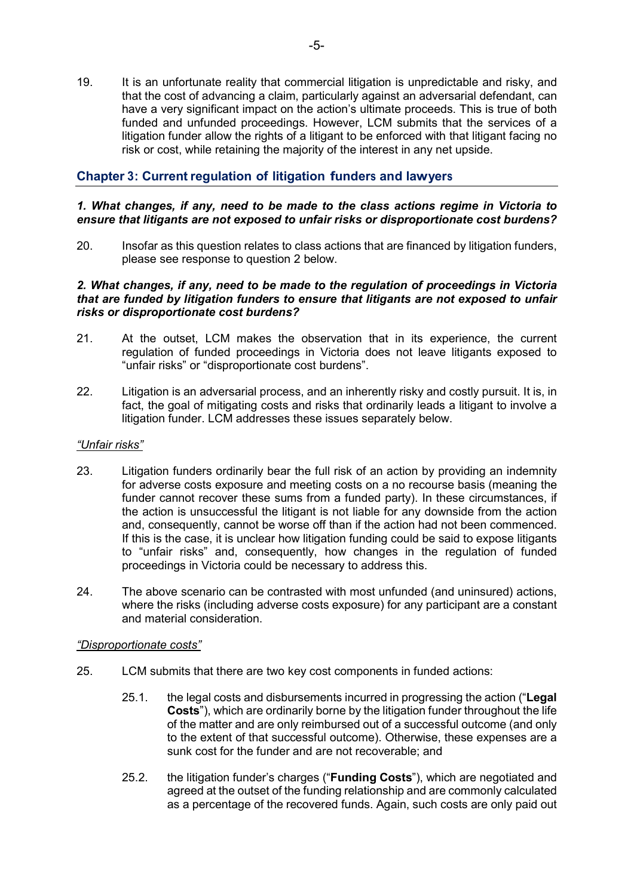19. It is an unfortunate reality that commercial litigation is unpredictable and risky, and that the cost of advancing a claim, particularly against an adversarial defendant, can have a very significant impact on the action's ultimate proceeds. This is true of both funded and unfunded proceedings. However, LCM submits that the services of a litigation funder allow the rights of a litigant to be enforced with that litigant facing no risk or cost, while retaining the majority of the interest in any net upside.

# Chapter 3: Current regulation of litigation funders and lawyer<sup>s</sup>

## 1. What changes, if any, need to be made to the class actions regime in Victoria to ensure that litigants are not exposed to unfair risks or disproportionate cost burdens?

20. Insofar as this question relates to class actions that are financed by litigation funders, please see response to question 2 below.

## 2. What changes, if any, need to be made to the regulation of proceedings in Victoria that are funded by litigation funders to ensure that litigants are not exposed to unfair risks or disproportionate cost burdens?

- 21. At the outset, LCM makes the observation that in its experience, the current regulation of funded proceedings in Victoria does not leave litigants exposed to "unfair risks" or "disproportionate cost burdens".
- 22. Litigation is an adversarial process, and an inherently risky and costly pursuit. It is, in fact, the goal of mitigating costs and risks that ordinarily leads a litigant to involve a litigation funder. LCM addresses these issues separately below.

# "Unfair risks"

- 23. Litigation funders ordinarily bear the full risk of an action by providing an indemnity for adverse costs exposure and meeting costs on a no recourse basis (meaning the funder cannot recover these sums from a funded party). In these circumstances, if the action is unsuccessful the litigant is not liable for any downside from the action and, consequently, cannot be worse off than if the action had not been commenced. If this is the case, it is unclear how litigation funding could be said to expose litigants to "unfair risks" and, consequently, how changes in the regulation of funded proceedings in Victoria could be necessary to address this.
- 24. The above scenario can be contrasted with most unfunded (and uninsured) actions, where the risks (including adverse costs exposure) for any participant are a constant and material consideration.

#### "Disproportionate costs"

- 25. LCM submits that there are two key cost components in funded actions:
	- 25.1. the legal costs and disbursements incurred in progressing the action ("Legal Costs"), which are ordinarily borne by the litigation funder throughout the life of the matter and are only reimbursed out of a successful outcome (and only to the extent of that successful outcome). Otherwise, these expenses are a sunk cost for the funder and are not recoverable; and
	- 25.2. the litigation funder's charges ("Funding Costs"), which are negotiated and agreed at the outset of the funding relationship and are commonly calculated as a percentage of the recovered funds. Again, such costs are only paid out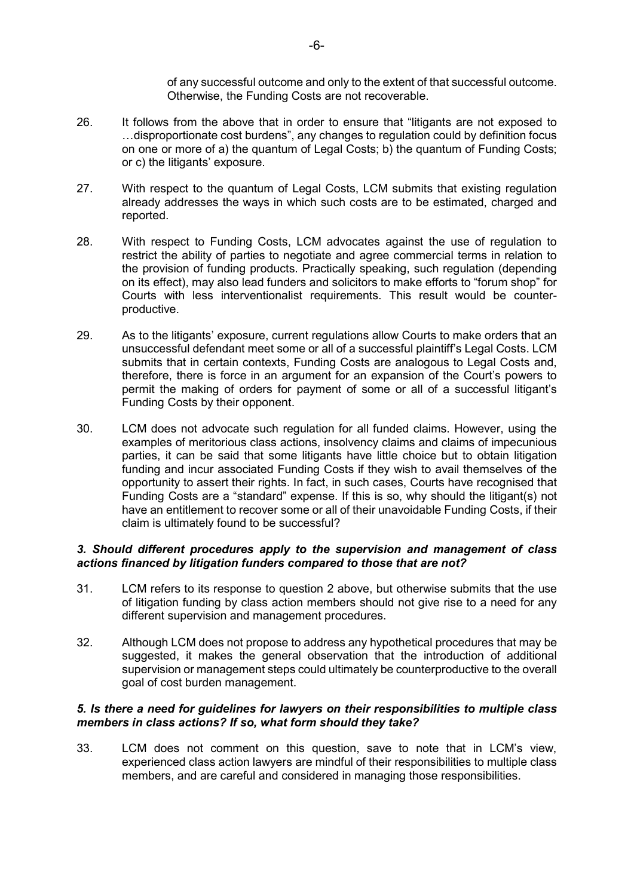of any successful outcome and only to the extent of that successful outcome. Otherwise, the Funding Costs are not recoverable.

- 26. It follows from the above that in order to ensure that "litigants are not exposed to …disproportionate cost burdens", any changes to regulation could by definition focus on one or more of a) the quantum of Legal Costs; b) the quantum of Funding Costs; or c) the litigants' exposure.
- 27. With respect to the quantum of Legal Costs, LCM submits that existing regulation already addresses the ways in which such costs are to be estimated, charged and reported.
- 28. With respect to Funding Costs, LCM advocates against the use of regulation to restrict the ability of parties to negotiate and agree commercial terms in relation to the provision of funding products. Practically speaking, such regulation (depending on its effect), may also lead funders and solicitors to make efforts to "forum shop" for Courts with less interventionalist requirements. This result would be counterproductive.
- 29. As to the litigants' exposure, current regulations allow Courts to make orders that an unsuccessful defendant meet some or all of a successful plaintiff's Legal Costs. LCM submits that in certain contexts, Funding Costs are analogous to Legal Costs and, therefore, there is force in an argument for an expansion of the Court's powers to permit the making of orders for payment of some or all of a successful litigant's Funding Costs by their opponent.
- 30. LCM does not advocate such regulation for all funded claims. However, using the examples of meritorious class actions, insolvency claims and claims of impecunious parties, it can be said that some litigants have little choice but to obtain litigation funding and incur associated Funding Costs if they wish to avail themselves of the opportunity to assert their rights. In fact, in such cases, Courts have recognised that Funding Costs are a "standard" expense. If this is so, why should the litigant(s) not have an entitlement to recover some or all of their unavoidable Funding Costs, if their claim is ultimately found to be successful?

## 3. Should different procedures apply to the supervision and management of class actions financed by litigation funders compared to those that are not?

- 31. LCM refers to its response to question 2 above, but otherwise submits that the use of litigation funding by class action members should not give rise to a need for any different supervision and management procedures.
- 32. Although LCM does not propose to address any hypothetical procedures that may be suggested, it makes the general observation that the introduction of additional supervision or management steps could ultimately be counterproductive to the overall goal of cost burden management.

## 5. Is there a need for guidelines for lawyers on their responsibilities to multiple class members in class actions? If so, what form should they take?

33. LCM does not comment on this question, save to note that in LCM's view, experienced class action lawyers are mindful of their responsibilities to multiple class members, and are careful and considered in managing those responsibilities.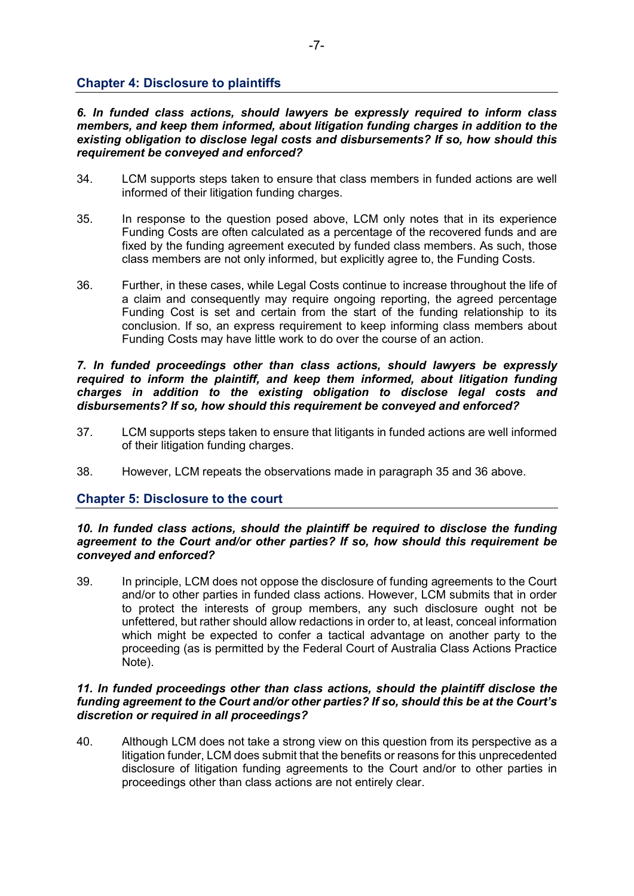# Chapter 4: Disclosure to plaintiffs

6. In funded class actions, should lawyers be expressly required to inform class members, and keep them informed, about litigation funding charges in addition to the existing obligation to disclose legal costs and disbursements? If so, how should this requirement be conveyed and enforced?

- 34. LCM supports steps taken to ensure that class members in funded actions are well informed of their litigation funding charges.
- 35. In response to the question posed above, LCM only notes that in its experience Funding Costs are often calculated as a percentage of the recovered funds and are fixed by the funding agreement executed by funded class members. As such, those class members are not only informed, but explicitly agree to, the Funding Costs.
- 36. Further, in these cases, while Legal Costs continue to increase throughout the life of a claim and consequently may require ongoing reporting, the agreed percentage Funding Cost is set and certain from the start of the funding relationship to its conclusion. If so, an express requirement to keep informing class members about Funding Costs may have little work to do over the course of an action.

#### 7. In funded proceedings other than class actions, should lawyers be expressly required to inform the plaintiff, and keep them informed, about litigation funding charges in addition to the existing obligation to disclose legal costs and disbursements? If so, how should this requirement be conveyed and enforced?

- 37. LCM supports steps taken to ensure that litigants in funded actions are well informed of their litigation funding charges.
- 38. However, LCM repeats the observations made in paragraph 35 and 36 above.

# Chapter 5: Disclosure to the court

#### 10. In funded class actions, should the plaintiff be required to disclose the funding agreement to the Court and/or other parties? If so, how should this requirement be conveyed and enforced?

39. In principle, LCM does not oppose the disclosure of funding agreements to the Court and/or to other parties in funded class actions. However, LCM submits that in order to protect the interests of group members, any such disclosure ought not be unfettered, but rather should allow redactions in order to, at least, conceal information which might be expected to confer a tactical advantage on another party to the proceeding (as is permitted by the Federal Court of Australia Class Actions Practice Note).

#### 11. In funded proceedings other than class actions, should the plaintiff disclose the funding agreement to the Court and/or other parties? If so, should this be at the Court's discretion or required in all proceedings?

40. Although LCM does not take a strong view on this question from its perspective as a litigation funder, LCM does submit that the benefits or reasons for this unprecedented disclosure of litigation funding agreements to the Court and/or to other parties in proceedings other than class actions are not entirely clear.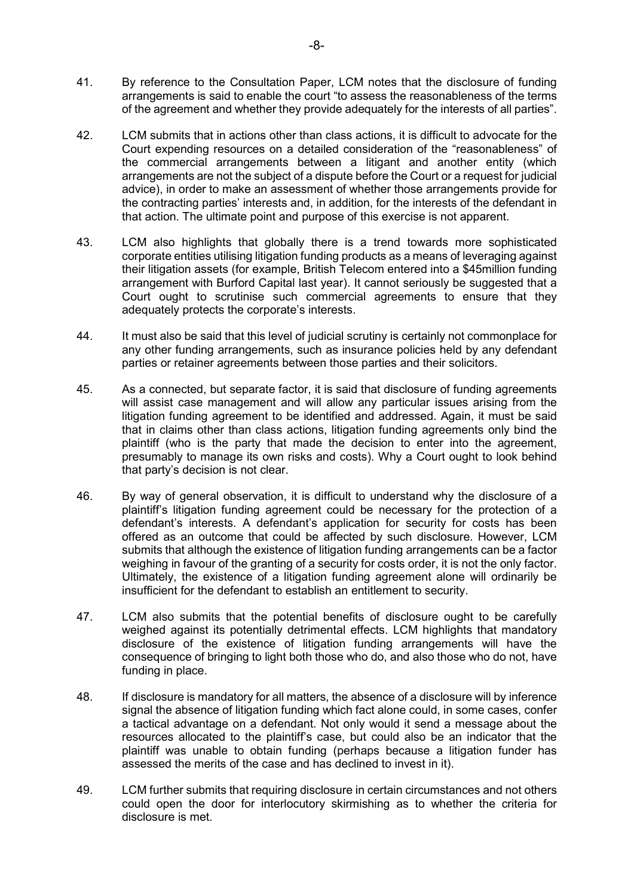- 41. By reference to the Consultation Paper, LCM notes that the disclosure of funding arrangements is said to enable the court "to assess the reasonableness of the terms of the agreement and whether they provide adequately for the interests of all parties".
- 42. LCM submits that in actions other than class actions, it is difficult to advocate for the Court expending resources on a detailed consideration of the "reasonableness" of the commercial arrangements between a litigant and another entity (which arrangements are not the subject of a dispute before the Court or a request for judicial advice), in order to make an assessment of whether those arrangements provide for the contracting parties' interests and, in addition, for the interests of the defendant in that action. The ultimate point and purpose of this exercise is not apparent.
- 43. LCM also highlights that globally there is a trend towards more sophisticated corporate entities utilising litigation funding products as a means of leveraging against their litigation assets (for example, British Telecom entered into a \$45million funding arrangement with Burford Capital last year). It cannot seriously be suggested that a Court ought to scrutinise such commercial agreements to ensure that they adequately protects the corporate's interests.
- 44. It must also be said that this level of judicial scrutiny is certainly not commonplace for any other funding arrangements, such as insurance policies held by any defendant parties or retainer agreements between those parties and their solicitors.
- 45. As a connected, but separate factor, it is said that disclosure of funding agreements will assist case management and will allow any particular issues arising from the litigation funding agreement to be identified and addressed. Again, it must be said that in claims other than class actions, litigation funding agreements only bind the plaintiff (who is the party that made the decision to enter into the agreement, presumably to manage its own risks and costs). Why a Court ought to look behind that party's decision is not clear.
- 46. By way of general observation, it is difficult to understand why the disclosure of a plaintiff's litigation funding agreement could be necessary for the protection of a defendant's interests. A defendant's application for security for costs has been offered as an outcome that could be affected by such disclosure. However, LCM submits that although the existence of litigation funding arrangements can be a factor weighing in favour of the granting of a security for costs order, it is not the only factor. Ultimately, the existence of a litigation funding agreement alone will ordinarily be insufficient for the defendant to establish an entitlement to security.
- 47. LCM also submits that the potential benefits of disclosure ought to be carefully weighed against its potentially detrimental effects. LCM highlights that mandatory disclosure of the existence of litigation funding arrangements will have the consequence of bringing to light both those who do, and also those who do not, have funding in place.
- 48. If disclosure is mandatory for all matters, the absence of a disclosure will by inference signal the absence of litigation funding which fact alone could, in some cases, confer a tactical advantage on a defendant. Not only would it send a message about the resources allocated to the plaintiff's case, but could also be an indicator that the plaintiff was unable to obtain funding (perhaps because a litigation funder has assessed the merits of the case and has declined to invest in it).
- 49. LCM further submits that requiring disclosure in certain circumstances and not others could open the door for interlocutory skirmishing as to whether the criteria for disclosure is met.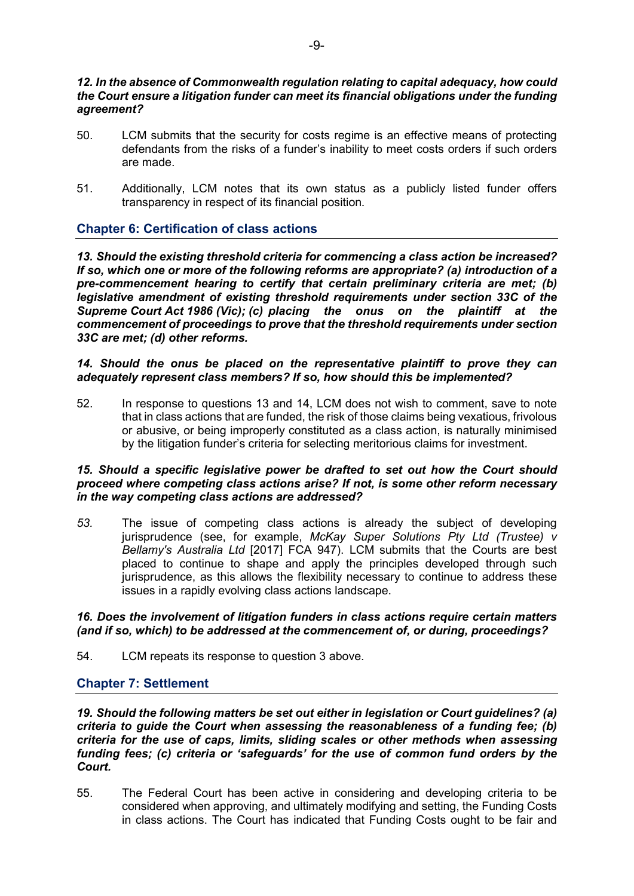## 12. In the absence of Commonwealth regulation relating to capital adequacy, how could the Court ensure a litigation funder can meet its financial obligations under the funding agreement?

- 50. LCM submits that the security for costs regime is an effective means of protecting defendants from the risks of a funder's inability to meet costs orders if such orders are made.
- 51. Additionally, LCM notes that its own status as a publicly listed funder offers transparency in respect of its financial position.

# Chapter 6: Certification of class actions

13. Should the existing threshold criteria for commencing a class action be increased? If so, which one or more of the following reforms are appropriate? (a) introduction of a pre-commencement hearing to certify that certain preliminary criteria are met; (b) legislative amendment of existing threshold requirements under section 33C of the Supreme Court Act 1986 (Vic); (c) placing the onus on the plaintiff at the commencement of proceedings to prove that the threshold requirements under section 33C are met; (d) other reforms.

## 14. Should the onus be placed on the representative plaintiff to prove they can adequately represent class members? If so, how should this be implemented?

52. In response to questions 13 and 14, LCM does not wish to comment, save to note that in class actions that are funded, the risk of those claims being vexatious, frivolous or abusive, or being improperly constituted as a class action, is naturally minimised by the litigation funder's criteria for selecting meritorious claims for investment.

#### 15. Should a specific legislative power be drafted to set out how the Court should proceed where competing class actions arise? If not, is some other reform necessary in the way competing class actions are addressed?

53. The issue of competing class actions is already the subject of developing jurisprudence (see, for example, McKay Super Solutions Pty Ltd (Trustee) v Bellamy's Australia Ltd [2017] FCA 947). LCM submits that the Courts are best placed to continue to shape and apply the principles developed through such jurisprudence, as this allows the flexibility necessary to continue to address these issues in a rapidly evolving class actions landscape.

## 16. Does the involvement of litigation funders in class actions require certain matters (and if so, which) to be addressed at the commencement of, or during, proceedings?

54. LCM repeats its response to question 3 above.

# Chapter 7: Settlement

19. Should the following matters be set out either in legislation or Court guidelines? (a) criteria to guide the Court when assessing the reasonableness of a funding fee; (b) criteria for the use of caps, limits, sliding scales or other methods when assessing funding fees; (c) criteria or 'safeguards' for the use of common fund orders by the Court.

55. The Federal Court has been active in considering and developing criteria to be considered when approving, and ultimately modifying and setting, the Funding Costs in class actions. The Court has indicated that Funding Costs ought to be fair and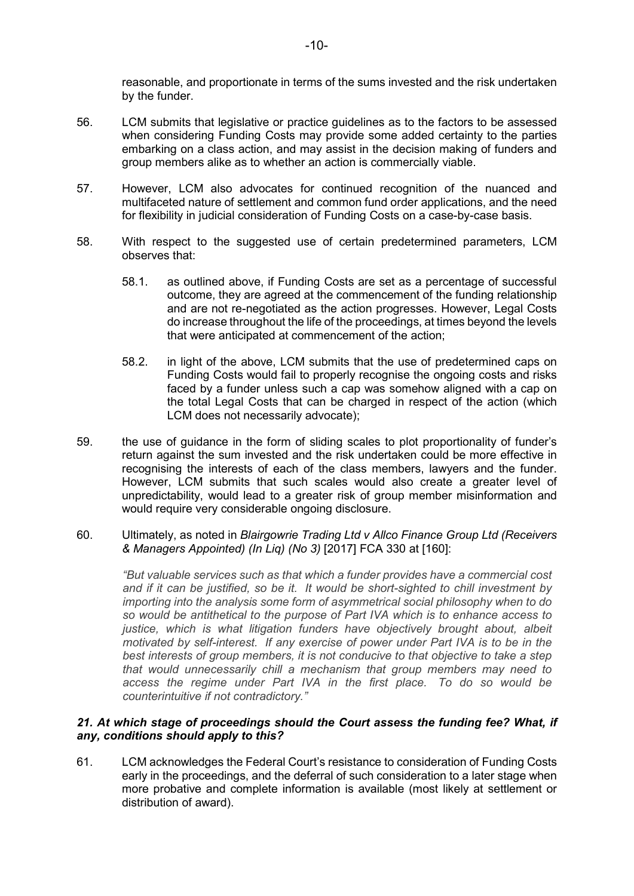reasonable, and proportionate in terms of the sums invested and the risk undertaken by the funder.

- 56. LCM submits that legislative or practice guidelines as to the factors to be assessed when considering Funding Costs may provide some added certainty to the parties embarking on a class action, and may assist in the decision making of funders and group members alike as to whether an action is commercially viable.
- 57. However, LCM also advocates for continued recognition of the nuanced and multifaceted nature of settlement and common fund order applications, and the need for flexibility in judicial consideration of Funding Costs on a case-by-case basis.
- 58. With respect to the suggested use of certain predetermined parameters, LCM observes that:
	- 58.1. as outlined above, if Funding Costs are set as a percentage of successful outcome, they are agreed at the commencement of the funding relationship and are not re-negotiated as the action progresses. However, Legal Costs do increase throughout the life of the proceedings, at times beyond the levels that were anticipated at commencement of the action;
	- 58.2. in light of the above, LCM submits that the use of predetermined caps on Funding Costs would fail to properly recognise the ongoing costs and risks faced by a funder unless such a cap was somehow aligned with a cap on the total Legal Costs that can be charged in respect of the action (which LCM does not necessarily advocate);
- 59. the use of guidance in the form of sliding scales to plot proportionality of funder's return against the sum invested and the risk undertaken could be more effective in recognising the interests of each of the class members, lawyers and the funder. However, LCM submits that such scales would also create a greater level of unpredictability, would lead to a greater risk of group member misinformation and would require very considerable ongoing disclosure.
- 60. Ultimately, as noted in Blairgowrie Trading Ltd v Allco Finance Group Ltd (Receivers & Managers Appointed) (In Liq) (No 3) [2017] FCA 330 at [160]:

"But valuable services such as that which a funder provides have a commercial cost and if it can be justified, so be it. It would be short-sighted to chill investment by importing into the analysis some form of asymmetrical social philosophy when to do so would be antithetical to the purpose of Part IVA which is to enhance access to justice, which is what litigation funders have objectively brought about, albeit motivated by self-interest. If any exercise of power under Part IVA is to be in the best interests of group members, it is not conducive to that objective to take a step that would unnecessarily chill a mechanism that group members may need to access the regime under Part IVA in the first place. To do so would be counterintuitive if not contradictory."

# 21. At which stage of proceedings should the Court assess the funding fee? What, if any, conditions should apply to this?

61. LCM acknowledges the Federal Court's resistance to consideration of Funding Costs early in the proceedings, and the deferral of such consideration to a later stage when more probative and complete information is available (most likely at settlement or distribution of award).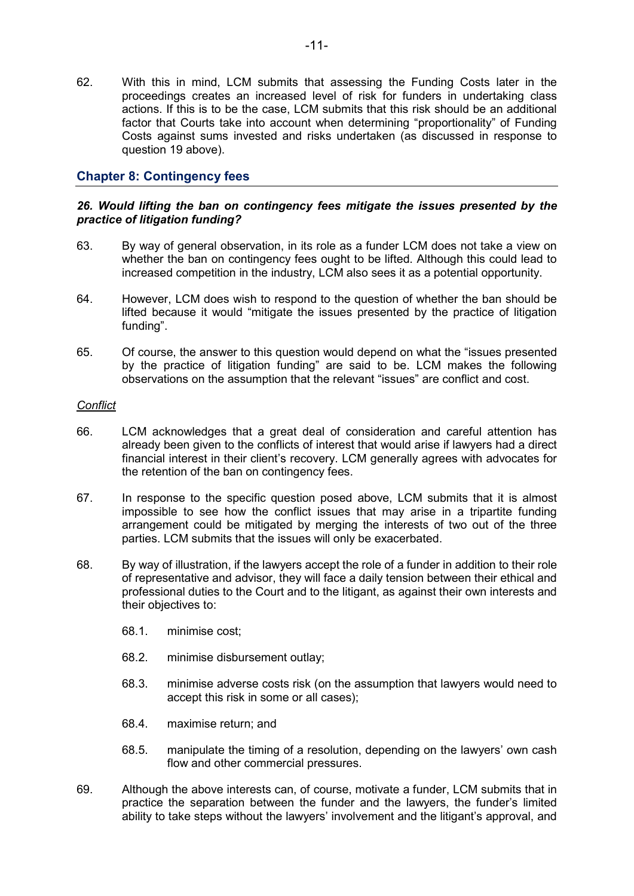62. With this in mind, LCM submits that assessing the Funding Costs later in the proceedings creates an increased level of risk for funders in undertaking class actions. If this is to be the case, LCM submits that this risk should be an additional factor that Courts take into account when determining "proportionality" of Funding Costs against sums invested and risks undertaken (as discussed in response to question 19 above).

# Chapter 8: Contingency fees

# 26. Would lifting the ban on contingency fees mitigate the issues presented by the practice of litigation funding?

- 63. By way of general observation, in its role as a funder LCM does not take a view on whether the ban on contingency fees ought to be lifted. Although this could lead to increased competition in the industry, LCM also sees it as a potential opportunity.
- 64. However, LCM does wish to respond to the question of whether the ban should be lifted because it would "mitigate the issues presented by the practice of litigation funding".
- 65. Of course, the answer to this question would depend on what the "issues presented by the practice of litigation funding" are said to be. LCM makes the following observations on the assumption that the relevant "issues" are conflict and cost.

## **Conflict**

- 66. LCM acknowledges that a great deal of consideration and careful attention has already been given to the conflicts of interest that would arise if lawyers had a direct financial interest in their client's recovery. LCM generally agrees with advocates for the retention of the ban on contingency fees.
- 67. In response to the specific question posed above, LCM submits that it is almost impossible to see how the conflict issues that may arise in a tripartite funding arrangement could be mitigated by merging the interests of two out of the three parties. LCM submits that the issues will only be exacerbated.
- 68. By way of illustration, if the lawyers accept the role of a funder in addition to their role of representative and advisor, they will face a daily tension between their ethical and professional duties to the Court and to the litigant, as against their own interests and their objectives to:
	- 68.1. minimise cost;
	- 68.2. minimise disbursement outlay;
	- 68.3. minimise adverse costs risk (on the assumption that lawyers would need to accept this risk in some or all cases);
	- 68.4. maximise return; and
	- 68.5. manipulate the timing of a resolution, depending on the lawyers' own cash flow and other commercial pressures.
- 69. Although the above interests can, of course, motivate a funder, LCM submits that in practice the separation between the funder and the lawyers, the funder's limited ability to take steps without the lawyers' involvement and the litigant's approval, and